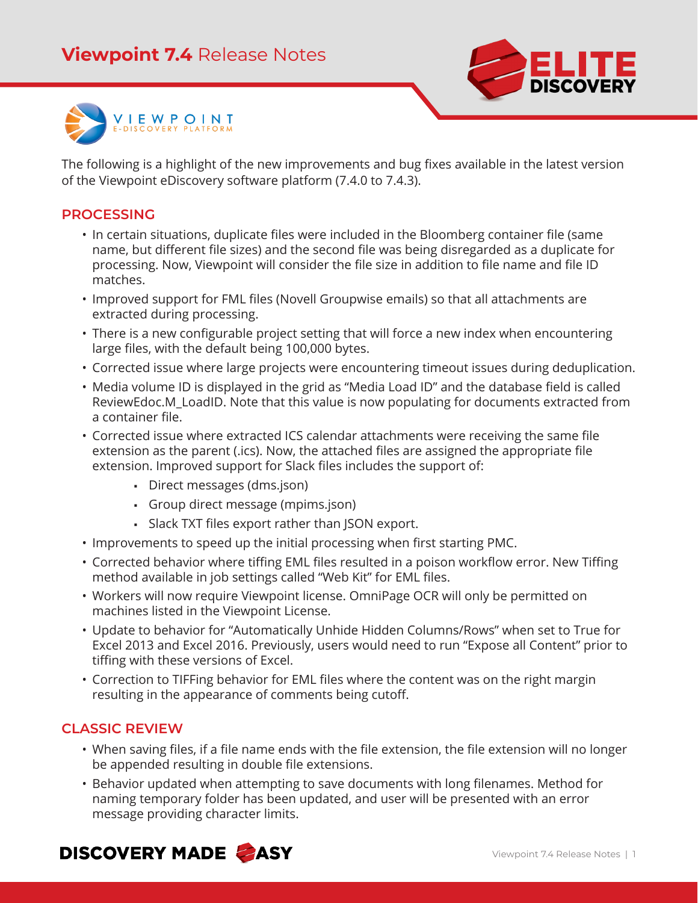

The following is a highlight of the new improvements and bug fixes available in the latest version of the Viewpoint eDiscovery software platform (7.4.0 to 7.4.3).

#### **PROCESSING**

- In certain situations, duplicate files were included in the Bloomberg container file (same name, but different file sizes) and the second file was being disregarded as a duplicate for processing. Now, Viewpoint will consider the file size in addition to file name and file ID matches.
- Improved support for FML files (Novell Groupwise emails) so that all attachments are extracted during processing.
- There is a new configurable project setting that will force a new index when encountering large files, with the default being 100,000 bytes.
- Corrected issue where large projects were encountering timeout issues during deduplication.
- Media volume ID is displayed in the grid as "Media Load ID" and the database field is called ReviewEdoc.M\_LoadID. Note that this value is now populating for documents extracted from a container file.
- Corrected issue where extracted ICS calendar attachments were receiving the same file extension as the parent (.ics). Now, the attached files are assigned the appropriate file extension. Improved support for Slack files includes the support of:
	- Direct messages (dms.json)
	- Group direct message (mpims.json)
	- Slack TXT files export rather than JSON export.
- Improvements to speed up the initial processing when first starting PMC.
- Corrected behavior where tiffing EML files resulted in a poison workflow error. New Tiffing method available in job settings called "Web Kit" for EML files.
- Workers will now require Viewpoint license. OmniPage OCR will only be permitted on machines listed in the Viewpoint License.
- Update to behavior for "Automatically Unhide Hidden Columns/Rows" when set to True for Excel 2013 and Excel 2016. Previously, users would need to run "Expose all Content" prior to tiffing with these versions of Excel.
- Correction to TIFFing behavior for EML files where the content was on the right margin resulting in the appearance of comments being cutoff.

#### **CLASSIC REVIEW**

- When saving files, if a file name ends with the file extension, the file extension will no longer be appended resulting in double file extensions.
- Behavior updated when attempting to save documents with long filenames. Method for naming temporary folder has been updated, and user will be presented with an error message providing character limits.

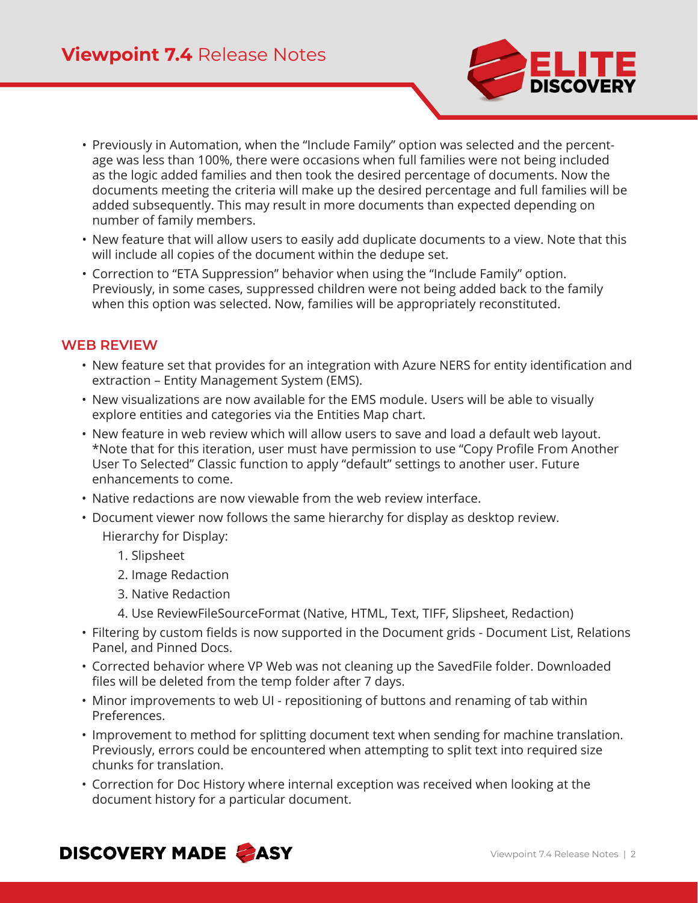

- Previously in Automation, when the "Include Family" option was selected and the percentage was less than 100%, there were occasions when full families were not being included as the logic added families and then took the desired percentage of documents. Now the documents meeting the criteria will make up the desired percentage and full families will be added subsequently. This may result in more documents than expected depending on number of family members.
- New feature that will allow users to easily add duplicate documents to a view. Note that this will include all copies of the document within the dedupe set.
- Correction to "ETA Suppression" behavior when using the "Include Family" option. Previously, in some cases, suppressed children were not being added back to the family when this option was selected. Now, families will be appropriately reconstituted.

# **WEB REVIEW**

- New feature set that provides for an integration with Azure NERS for entity identification and extraction – Entity Management System (EMS).
- New visualizations are now available for the EMS module. Users will be able to visually explore entities and categories via the Entities Map chart.
- New feature in web review which will allow users to save and load a default web layout. \*Note that for this iteration, user must have permission to use "Copy Profile From Another User To Selected" Classic function to apply "default" settings to another user. Future enhancements to come.
- Native redactions are now viewable from the web review interface.
- Document viewer now follows the same hierarchy for display as desktop review.

Hierarchy for Display:

- 1. Slipsheet
- 2. Image Redaction
- 3. Native Redaction
- 4. Use ReviewFileSourceFormat (Native, HTML, Text, TIFF, Slipsheet, Redaction)
- Filtering by custom fields is now supported in the Document grids Document List, Relations Panel, and Pinned Docs.
- Corrected behavior where VP Web was not cleaning up the SavedFile folder. Downloaded files will be deleted from the temp folder after 7 days.
- Minor improvements to web UI repositioning of buttons and renaming of tab within Preferences.
- Improvement to method for splitting document text when sending for machine translation. Previously, errors could be encountered when attempting to split text into required size chunks for translation.
- Correction for Doc History where internal exception was received when looking at the document history for a particular document.